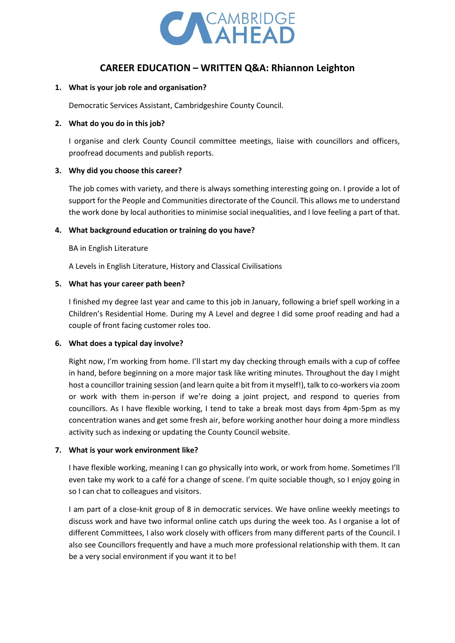

# **CAREER EDUCATION – WRITTEN Q&A: Rhiannon Leighton**

#### **1. What is your job role and organisation?**

Democratic Services Assistant, Cambridgeshire County Council.

## **2. What do you do in this job?**

I organise and clerk County Council committee meetings, liaise with councillors and officers, proofread documents and publish reports.

## **3. Why did you choose this career?**

The job comes with variety, and there is always something interesting going on. I provide a lot of support for the People and Communities directorate of the Council. This allows me to understand the work done by local authorities to minimise social inequalities, and I love feeling a part of that.

## **4. What background education or training do you have?**

BA in English Literature

A Levels in English Literature, History and Classical Civilisations

## **5. What has your career path been?**

I finished my degree last year and came to this job in January, following a brief spell working in a Children's Residential Home. During my A Level and degree I did some proof reading and had a couple of front facing customer roles too.

#### **6. What does a typical day involve?**

Right now, I'm working from home. I'll start my day checking through emails with a cup of coffee in hand, before beginning on a more major task like writing minutes. Throughout the day I might host a councillor training session (and learn quite a bit from it myself!), talk to co-workers via zoom or work with them in-person if we're doing a joint project, and respond to queries from councillors. As I have flexible working, I tend to take a break most days from 4pm-5pm as my concentration wanes and get some fresh air, before working another hour doing a more mindless activity such as indexing or updating the County Council website.

#### **7. What is your work environment like?**

I have flexible working, meaning I can go physically into work, or work from home. Sometimes I'll even take my work to a café for a change of scene. I'm quite sociable though, so I enjoy going in so I can chat to colleagues and visitors.

I am part of a close-knit group of 8 in democratic services. We have online weekly meetings to discuss work and have two informal online catch ups during the week too. As I organise a lot of different Committees, I also work closely with officers from many different parts of the Council. I also see Councillors frequently and have a much more professional relationship with them. It can be a very social environment if you want it to be!